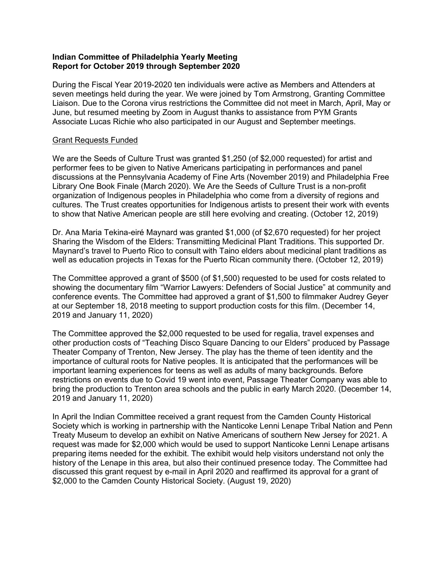## Indian Committee of Philadelphia Yearly Meeting Report for October 2019 through September 2020

During the Fiscal Year 2019-2020 ten individuals were active as Members and Attenders at seven meetings held during the year. We were joined by Tom Armstrong, Granting Committee Liaison. Due to the Corona virus restrictions the Committee did not meet in March, April, May or June, but resumed meeting by Zoom in August thanks to assistance from PYM Grants Associate Lucas Richie who also participated in our August and September meetings.

## Grant Requests Funded

We are the Seeds of Culture Trust was granted \$1,250 (of \$2,000 requested) for artist and performer fees to be given to Native Americans participating in performances and panel discussions at the Pennsylvania Academy of Fine Arts (November 2019) and Philadelphia Free Library One Book Finale (March 2020). We Are the Seeds of Culture Trust is a non-profit organization of Indigenous peoples in Philadelphia who come from a diversity of regions and cultures. The Trust creates opportunities for Indigenous artists to present their work with events to show that Native American people are still here evolving and creating. (October 12, 2019)

Dr. Ana Maria Tekina-eiré Maynard was granted \$1,000 (of \$2,670 requested) for her project Sharing the Wisdom of the Elders: Transmitting Medicinal Plant Traditions. This supported Dr. Maynard's travel to Puerto Rico to consult with Taino elders about medicinal plant traditions as well as education projects in Texas for the Puerto Rican community there. (October 12, 2019)

The Committee approved a grant of \$500 (of \$1,500) requested to be used for costs related to showing the documentary film "Warrior Lawyers: Defenders of Social Justice" at community and conference events. The Committee had approved a grant of \$1,500 to filmmaker Audrey Geyer at our September 18, 2018 meeting to support production costs for this film. (December 14, 2019 and January 11, 2020)

The Committee approved the \$2,000 requested to be used for regalia, travel expenses and other production costs of "Teaching Disco Square Dancing to our Elders" produced by Passage Theater Company of Trenton, New Jersey. The play has the theme of teen identity and the importance of cultural roots for Native peoples. It is anticipated that the performances will be important learning experiences for teens as well as adults of many backgrounds. Before restrictions on events due to Covid 19 went into event, Passage Theater Company was able to bring the production to Trenton area schools and the public in early March 2020. (December 14, 2019 and January 11, 2020)

In April the Indian Committee received a grant request from the Camden County Historical Society which is working in partnership with the Nanticoke Lenni Lenape Tribal Nation and Penn Treaty Museum to develop an exhibit on Native Americans of southern New Jersey for 2021. A request was made for \$2,000 which would be used to support Nanticoke Lenni Lenape artisans preparing items needed for the exhibit. The exhibit would help visitors understand not only the history of the Lenape in this area, but also their continued presence today. The Committee had discussed this grant request by e-mail in April 2020 and reaffirmed its approval for a grant of \$2,000 to the Camden County Historical Society. (August 19, 2020)